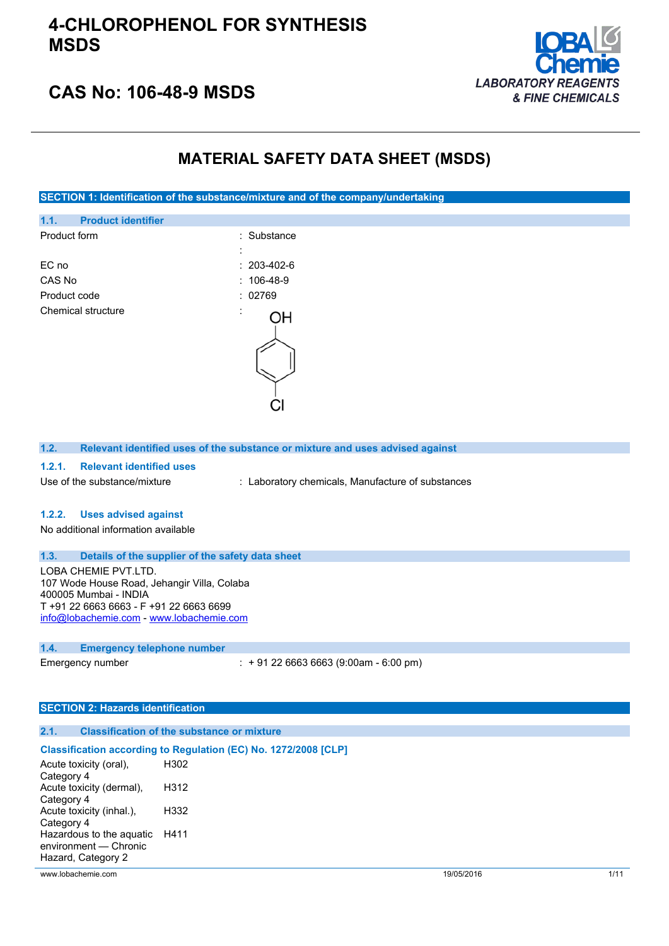

# **CAS No: 106-48-9 MSDS**

# **MATERIAL SAFETY DATA SHEET (MSDS)**

**SECTION 1: Identification of the substance/mixture and of the company/undertaking**

| 1.1.         | <b>Product identifier</b> |                   |
|--------------|---------------------------|-------------------|
| Product form |                           | : Substance       |
|              |                           |                   |
| EC no        |                           | $: 203 - 402 - 6$ |
| CAS No       |                           | $: 106-48-9$      |
| Product code |                           | : 02769           |
|              | Chemical structure        |                   |
|              |                           |                   |

| Relevant identified uses of the substance or mixture and uses advised against<br>1.2. |  |
|---------------------------------------------------------------------------------------|--|
|---------------------------------------------------------------------------------------|--|

#### **1.2.1. Relevant identified uses**

Use of the substance/mixture : Laboratory chemicals, Manufacture of substances

#### **1.2.2. Uses advised against**

No additional information available

#### **1.3. Details of the supplier of the safety data sheet**

LOBA CHEMIE PVT.LTD. 107 Wode House Road, Jehangir Villa, Colaba 400005 Mumbai - INDIA T +91 22 6663 6663 - F +91 22 6663 6699 [info@lobachemie.com](mailto:info@lobachemie.com) - <www.lobachemie.com>

#### **1.4. Emergency telephone number**

Emergency number : + 91 22 6663 6663 (9:00am - 6:00 pm)

### **SECTION 2: Hazards identification**

### **2.1. Classification of the substance or mixture**

#### **Classification according to Regulation (EC) No. 1272/2008 [CLP]**

| Acute toxicity (oral),<br>Category 4 | H302 |
|--------------------------------------|------|
| Acute toxicity (dermal),             | H312 |
| Category 4                           |      |
| Acute toxicity (inhal.),             | H332 |
| Category 4                           |      |
| Hazardous to the aquatic             | H411 |
| environment - Chronic                |      |
| Hazard, Category 2                   |      |

www.lobachemie.com 19/05/2016 1/11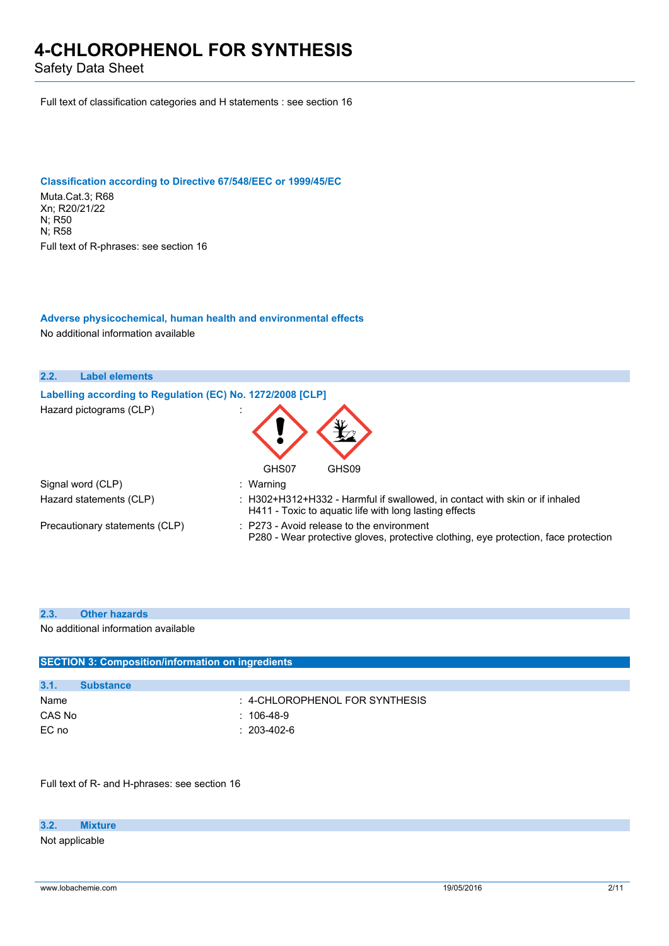Safety Data Sheet

Full text of classification categories and H statements : see section 16

## **Classification according to Directive 67/548/EEC or 1999/45/EC**

Muta.Cat.3; R68 Xn; R20/21/22 N; R50 N; R58 Full text of R-phrases: see section 16

## **Adverse physicochemical, human health and environmental effects**

No additional information available



#### **2.3. Other hazards**

No additional information available

| <b>SECTION 3: Composition/information on ingredients</b> |                   |                                |
|----------------------------------------------------------|-------------------|--------------------------------|
|                                                          |                   |                                |
| 3.1.                                                     | <b>Substance</b>  |                                |
| Name                                                     |                   | : 4-CHLOROPHENOL FOR SYNTHESIS |
| CAS No                                                   | : 106-48-9        |                                |
| EC no                                                    | $: 203 - 402 - 6$ |                                |
|                                                          |                   |                                |

Full text of R- and H-phrases: see section 16

#### **3.2. Mixture**

Not applicable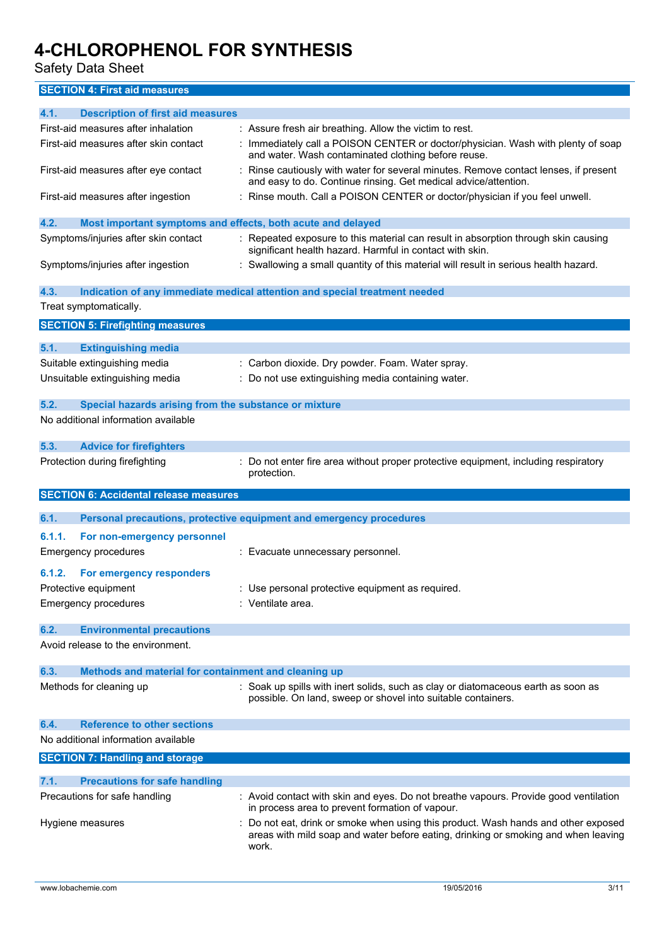Safety Data Sheet

**SECTION 4: First aid measures**

| 4.1.<br><b>Description of first aid measures</b>                    |                                                                                                                                                         |
|---------------------------------------------------------------------|---------------------------------------------------------------------------------------------------------------------------------------------------------|
| First-aid measures after inhalation                                 | : Assure fresh air breathing. Allow the victim to rest.                                                                                                 |
| First-aid measures after skin contact                               | : Immediately call a POISON CENTER or doctor/physician. Wash with plenty of soap<br>and water. Wash contaminated clothing before reuse.                 |
| First-aid measures after eye contact                                | : Rinse cautiously with water for several minutes. Remove contact lenses, if present<br>and easy to do. Continue rinsing. Get medical advice/attention. |
| First-aid measures after ingestion                                  | : Rinse mouth. Call a POISON CENTER or doctor/physician if you feel unwell.                                                                             |
| 4.2.<br>Most important symptoms and effects, both acute and delayed |                                                                                                                                                         |
| Symptoms/injuries after skin contact                                | : Repeated exposure to this material can result in absorption through skin causing<br>significant health hazard. Harmful in contact with skin.          |
| Symptoms/injuries after ingestion                                   | : Swallowing a small quantity of this material will result in serious health hazard.                                                                    |
| 4.3.                                                                | Indication of any immediate medical attention and special treatment needed                                                                              |
| Treat symptomatically.                                              |                                                                                                                                                         |
| <b>SECTION 5: Firefighting measures</b>                             |                                                                                                                                                         |
|                                                                     |                                                                                                                                                         |
| 5.1.<br><b>Extinguishing media</b>                                  |                                                                                                                                                         |
| Suitable extinguishing media                                        | : Carbon dioxide. Dry powder. Foam. Water spray.                                                                                                        |
| Unsuitable extinguishing media                                      | : Do not use extinguishing media containing water.                                                                                                      |
|                                                                     |                                                                                                                                                         |
| 5.2.<br>Special hazards arising from the substance or mixture       |                                                                                                                                                         |
| No additional information available                                 |                                                                                                                                                         |
| 5.3.<br><b>Advice for firefighters</b>                              |                                                                                                                                                         |
| Protection during firefighting                                      | : Do not enter fire area without proper protective equipment, including respiratory                                                                     |
|                                                                     |                                                                                                                                                         |
|                                                                     | protection.                                                                                                                                             |
| <b>SECTION 6: Accidental release measures</b>                       |                                                                                                                                                         |
| 6.1.                                                                |                                                                                                                                                         |
|                                                                     | Personal precautions, protective equipment and emergency procedures                                                                                     |
| 6.1.1.<br>For non-emergency personnel                               |                                                                                                                                                         |
| <b>Emergency procedures</b>                                         | : Evacuate unnecessary personnel.                                                                                                                       |
| 6.1.2.<br>For emergency responders                                  |                                                                                                                                                         |
| Protective equipment                                                | : Use personal protective equipment as required.                                                                                                        |
| <b>Emergency procedures</b>                                         | : Ventilate area.                                                                                                                                       |
|                                                                     |                                                                                                                                                         |
| 6.2.<br><b>Environmental precautions</b>                            |                                                                                                                                                         |
| Avoid release to the environment.                                   |                                                                                                                                                         |
| 6.3.                                                                |                                                                                                                                                         |
| Methods and material for containment and cleaning up                |                                                                                                                                                         |
| Methods for cleaning up                                             | : Soak up spills with inert solids, such as clay or diatomaceous earth as soon as<br>possible. On land, sweep or shovel into suitable containers.       |
| <b>Reference to other sections</b><br>6.4.                          |                                                                                                                                                         |
| No additional information available                                 |                                                                                                                                                         |
|                                                                     |                                                                                                                                                         |
| <b>SECTION 7: Handling and storage</b>                              |                                                                                                                                                         |
| 7.1.<br><b>Precautions for safe handling</b>                        |                                                                                                                                                         |
| Precautions for safe handling                                       | : Avoid contact with skin and eyes. Do not breathe vapours. Provide good ventilation                                                                    |
| Hygiene measures                                                    | in process area to prevent formation of vapour.<br>Do not eat, drink or smoke when using this product. Wash hands and other exposed                     |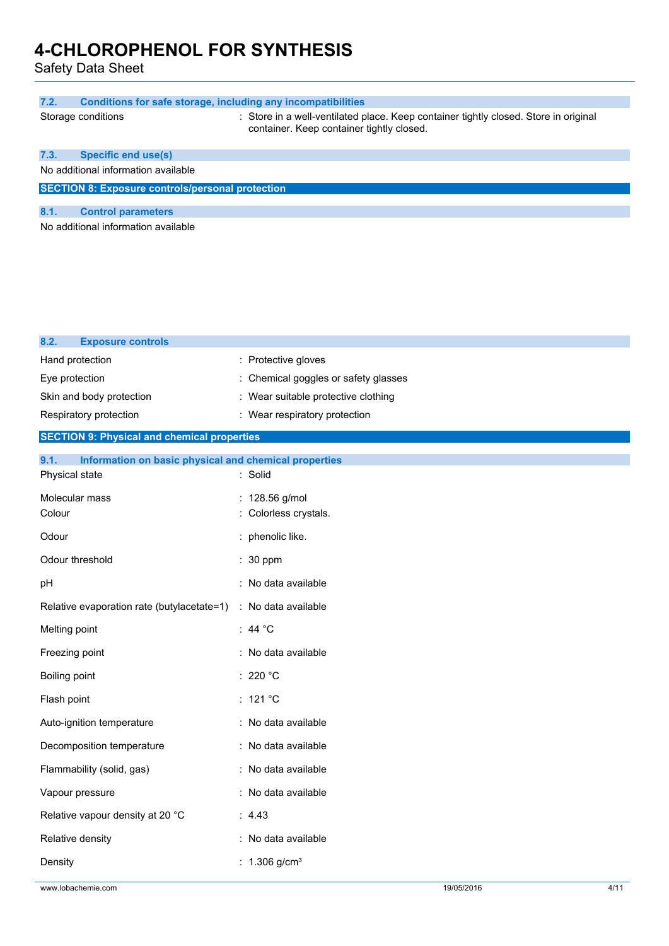Safety Data Sheet

| 7.2.<br><b>Conditions for safe storage, including any incompatibilities</b>     |                                                                                                                                   |
|---------------------------------------------------------------------------------|-----------------------------------------------------------------------------------------------------------------------------------|
| Storage conditions                                                              | : Store in a well-ventilated place. Keep container tightly closed. Store in original<br>container. Keep container tightly closed. |
| <b>Specific end use(s)</b><br>7.3.                                              |                                                                                                                                   |
| No additional information available                                             |                                                                                                                                   |
| <b>SECTION 8: Exposure controls/personal protection</b>                         |                                                                                                                                   |
| 8.1.<br><b>Control parameters</b><br>No additional information available        |                                                                                                                                   |
|                                                                                 |                                                                                                                                   |
| 8.2.<br><b>Exposure controls</b>                                                |                                                                                                                                   |
| Hand protection                                                                 | : Protective gloves                                                                                                               |
| Eye protection                                                                  | : Chemical goggles or safety glasses                                                                                              |
| Skin and body protection                                                        | : Wear suitable protective clothing                                                                                               |
| Respiratory protection                                                          | : Wear respiratory protection                                                                                                     |
| <b>SECTION 9: Physical and chemical properties</b>                              |                                                                                                                                   |
| 9.1.<br>Information on basic physical and chemical properties<br>Physical state | : Solid                                                                                                                           |
| Molecular mass<br>Colour                                                        | : 128.56 g/mol<br>: Colorless crystals.                                                                                           |
| Odour                                                                           | phenolic like.                                                                                                                    |
| Odour threshold                                                                 | : 30 ppm                                                                                                                          |
| pH                                                                              | : No data available                                                                                                               |
| Relative evaporation rate (butylacetate=1) : No data available                  |                                                                                                                                   |
| Melting point                                                                   | : 44 $^{\circ}$ C                                                                                                                 |
| Freezing point                                                                  | : No data available                                                                                                               |
| Boiling point                                                                   | : 220 $^{\circ}$ C                                                                                                                |
| Flash point                                                                     | : 121 $^{\circ}$ C                                                                                                                |
| Auto-ignition temperature                                                       | : No data available                                                                                                               |
| Decomposition temperature                                                       | : No data available                                                                                                               |
| Flammability (solid, gas)                                                       | : No data available                                                                                                               |
| Vapour pressure                                                                 | : No data available                                                                                                               |
| Relative vapour density at 20 °C                                                | : 4.43                                                                                                                            |
| Relative density                                                                | : No data available                                                                                                               |
| Density                                                                         | : $1.306$ g/cm <sup>3</sup>                                                                                                       |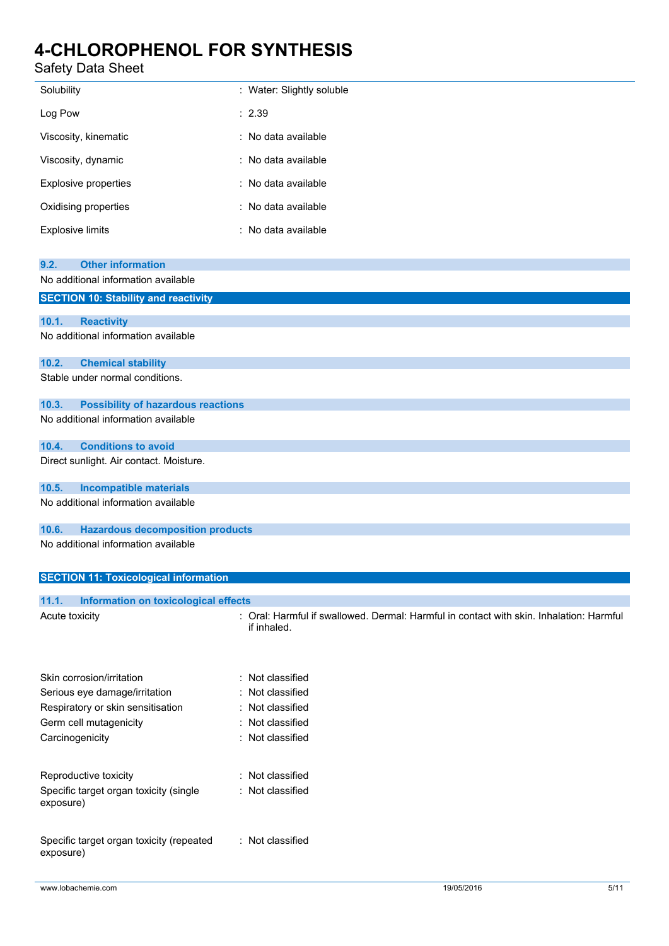# Safety Data Sheet

| Solubility                                                                                | : Water: Slightly soluble                                                                              |
|-------------------------------------------------------------------------------------------|--------------------------------------------------------------------------------------------------------|
| Log Pow                                                                                   | : 2.39                                                                                                 |
| Viscosity, kinematic                                                                      | : No data available                                                                                    |
| Viscosity, dynamic                                                                        | : No data available                                                                                    |
| <b>Explosive properties</b>                                                               | : No data available                                                                                    |
| Oxidising properties                                                                      | : No data available                                                                                    |
| <b>Explosive limits</b>                                                                   | : No data available                                                                                    |
| <b>Other information</b><br>9.2.                                                          |                                                                                                        |
| No additional information available<br><b>SECTION 10: Stability and reactivity</b>        |                                                                                                        |
|                                                                                           |                                                                                                        |
| 10.1.<br><b>Reactivity</b><br>No additional information available                         |                                                                                                        |
|                                                                                           |                                                                                                        |
| 10.2.<br><b>Chemical stability</b><br>Stable under normal conditions.                     |                                                                                                        |
|                                                                                           |                                                                                                        |
| <b>Possibility of hazardous reactions</b><br>10.3.<br>No additional information available |                                                                                                        |
|                                                                                           |                                                                                                        |
| 10.4.<br><b>Conditions to avoid</b><br>Direct sunlight. Air contact. Moisture.            |                                                                                                        |
|                                                                                           |                                                                                                        |
| <b>Incompatible materials</b><br>10.5.<br>No additional information available             |                                                                                                        |
|                                                                                           |                                                                                                        |
| <b>Hazardous decomposition products</b><br>10.6.<br>No additional information available   |                                                                                                        |
|                                                                                           |                                                                                                        |
| <b>SECTION 11: Toxicological information</b>                                              |                                                                                                        |
| 11.1.<br><b>Information on toxicological effects</b>                                      |                                                                                                        |
| Acute toxicity                                                                            | : Oral: Harmful if swallowed. Dermal: Harmful in contact with skin. Inhalation: Harmful<br>if inhaled. |
|                                                                                           |                                                                                                        |
| Skin corrosion/irritation                                                                 | : Not classified                                                                                       |
| Serious eye damage/irritation                                                             | : Not classified                                                                                       |
| Respiratory or skin sensitisation                                                         | : Not classified                                                                                       |
| Germ cell mutagenicity                                                                    | : Not classified                                                                                       |
| Carcinogenicity                                                                           | : Not classified                                                                                       |
| Reproductive toxicity                                                                     | : Not classified                                                                                       |
| Specific target organ toxicity (single                                                    | : Not classified                                                                                       |
| exposure)                                                                                 |                                                                                                        |
| Specific target organ toxicity (repeated                                                  | : Not classified                                                                                       |
| exposure)                                                                                 |                                                                                                        |
|                                                                                           |                                                                                                        |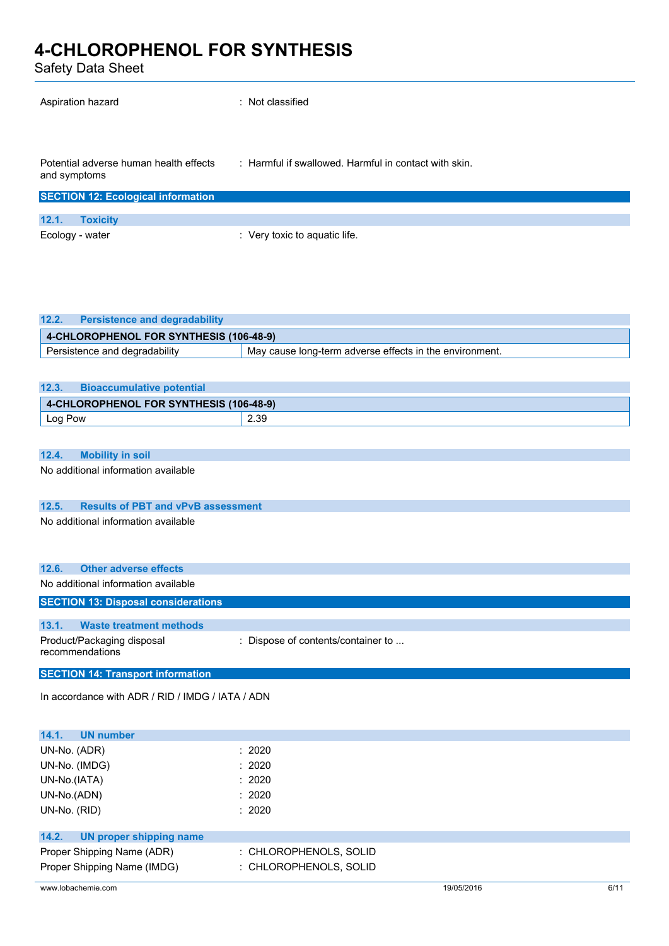Safety Data Sheet

| Aspiration hazard                                      | : Not classified                                      |
|--------------------------------------------------------|-------------------------------------------------------|
| Potential adverse human health effects<br>and symptoms | : Harmful if swallowed. Harmful in contact with skin. |
| <b>SECTION 12: Ecological information</b>              |                                                       |
| 12.1.<br><b>Toxicity</b>                               |                                                       |
| Ecology - water                                        | : Very toxic to aquatic life.                         |

| 12.2.<br><b>Persistence and degradability</b> |                                                         |  |
|-----------------------------------------------|---------------------------------------------------------|--|
| 4-CHLOROPHENOL FOR SYNTHESIS (106-48-9)       |                                                         |  |
| Persistence and degradability                 | May cause long-term adverse effects in the environment. |  |

| 12.3.   | <b>Bioaccumulative potential</b>        |      |  |
|---------|-----------------------------------------|------|--|
|         | 4-CHLOROPHENOL FOR SYNTHESIS (106-48-9) |      |  |
| Log Pow |                                         | 2.39 |  |

### **12.4. Mobility in soil**

No additional information available

## **12.5. Results of PBT and vPvB assessment**

No additional information available

| 12.6.                                         | <b>Other adverse effects</b>               |                                    |  |
|-----------------------------------------------|--------------------------------------------|------------------------------------|--|
|                                               | No additional information available        |                                    |  |
|                                               | <b>SECTION 13: Disposal considerations</b> |                                    |  |
|                                               |                                            |                                    |  |
| 13.1.                                         | <b>Waste treatment methods</b>             |                                    |  |
| Product/Packaging disposal<br>recommendations |                                            | : Dispose of contents/container to |  |

**SECTION 14: Transport information**

In accordance with ADR / RID / IMDG / IATA / ADN

| 14.1.<br><b>UN number</b>        |                        |
|----------------------------------|------------------------|
| UN-No. (ADR)                     | : 2020                 |
| UN-No. (IMDG)                    | : 2020                 |
| UN-No.(IATA)                     | : 2020                 |
| UN-No.(ADN)                      | : 2020                 |
| UN-No. (RID)                     | : 2020                 |
|                                  |                        |
| 14.2.<br>UN proper shipping name |                        |
| Proper Shipping Name (ADR)       | : CHLOROPHENOLS, SOLID |
| Proper Shipping Name (IMDG)      | : CHLOROPHENOLS, SOLID |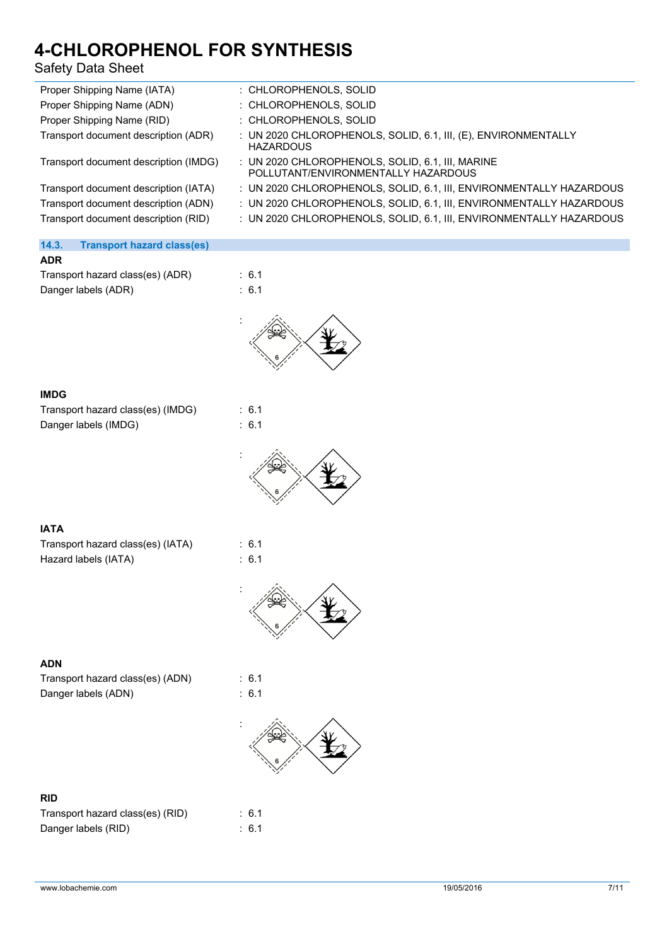# Safety Data Sheet

| Proper Shipping Name (IATA)           | : CHLOROPHENOLS, SOLID                                                                      |
|---------------------------------------|---------------------------------------------------------------------------------------------|
| Proper Shipping Name (ADN)            | : CHLOROPHENOLS, SOLID                                                                      |
| Proper Shipping Name (RID)            | : CHLOROPHENOLS, SOLID                                                                      |
| Transport document description (ADR)  | : UN 2020 CHLOROPHENOLS, SOLID, 6.1, III, (E), ENVIRONMENTALLY<br><b>HAZARDOUS</b>          |
| Transport document description (IMDG) | $\pm$ UN 2020 CHLOROPHENOLS, SOLID, 6.1, III, MARINE<br>POLLUTANT/ENVIRONMENTALLY HAZARDOUS |
| Transport document description (IATA) | : UN 2020 CHLOROPHENOLS, SOLID, 6.1, III, ENVIRONMENTALLY HAZARDOUS                         |
| Transport document description (ADN)  | : UN 2020 CHLOROPHENOLS, SOLID, 6.1, III, ENVIRONMENTALLY HAZARDOUS                         |
| Transport document description (RID)  | : UN 2020 CHLOROPHENOLS, SOLID, 6.1, III, ENVIRONMENTALLY HAZARDOUS                         |
|                                       |                                                                                             |

## **14.3. Transport hazard class(es)**

| Transport hazard class(es) (ADR) |  |
|----------------------------------|--|
| Danger labels (ADR)              |  |



### **IMDG**

| Transport hazard class(es) (IMDG) |  |
|-----------------------------------|--|
| Danger labels (IMDG)              |  |



 $\therefore$  6.1



## **IATA**

| Transport hazard class(es) (IATA) |  |  |
|-----------------------------------|--|--|
| Hazard labels (IATA)              |  |  |

 $\therefore$  6.1  $: 6.1$ 



### **ADN**

Transport hazard class(es) (ADN) : 6.1 Danger labels (ADN) : 6.1

 $: 6.1$  $\therefore$  6.1



## **RID**

| Transport hazard class(es) (RID) |  |
|----------------------------------|--|
| Danger labels (RID)              |  |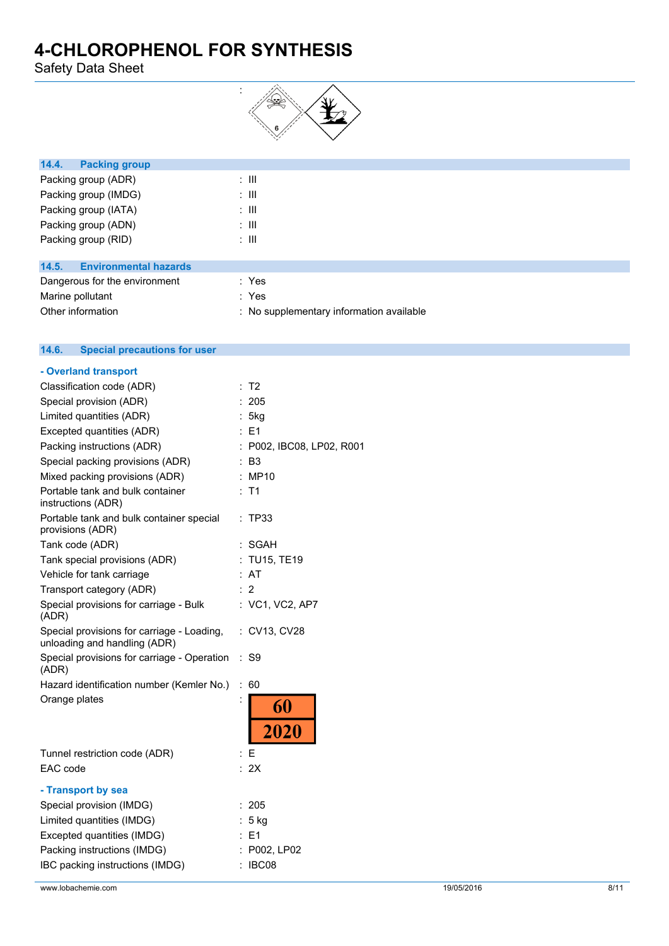Safety Data Sheet



| 14.4.<br><b>Packing group</b>         |                   |
|---------------------------------------|-------------------|
| Packing group (ADR)                   | ÷ III             |
| Packing group (IMDG)                  | ÷ III             |
| Packing group (IATA)                  | ÷ III             |
| Packing group (ADN)                   | ÷ III             |
| Packing group (RID)                   | ÷ III             |
|                                       |                   |
| 14.5.<br><b>Environmental hazards</b> |                   |
| Department for the conduction of      | $\sim$ $\sqrt{2}$ |

| Dangerous for the environment | : Yes                                    |
|-------------------------------|------------------------------------------|
| Marine pollutant              | : Yes                                    |
| Other information             | : No supplementary information available |

| 14.6. | <b>Special precautions for user</b> |  |
|-------|-------------------------------------|--|
|       |                                     |  |

| - Overland transport                                                       |                                    |
|----------------------------------------------------------------------------|------------------------------------|
| Classification code (ADR)                                                  | T <sub>2</sub>                     |
| Special provision (ADR)                                                    | : 205                              |
| Limited quantities (ADR)                                                   | 5kg                                |
| Excepted quantities (ADR)                                                  | : E1                               |
| Packing instructions (ADR)                                                 | : P002, IBC08, LP02, R001          |
| Special packing provisions (ADR)                                           | : B3                               |
| Mixed packing provisions (ADR)                                             | : MP10                             |
| Portable tank and bulk container<br>instructions (ADR)                     | : T1                               |
| Portable tank and bulk container special<br>provisions (ADR)               | TP33                               |
| Tank code (ADR)                                                            | : SGAH                             |
| Tank special provisions (ADR)                                              | <b>TU15, TE19</b>                  |
| Vehicle for tank carriage                                                  | AT                                 |
| Transport category (ADR)                                                   | $\cdot$ 2                          |
| Special provisions for carriage - Bulk<br>(ADR)                            | : VC1, VC2, AP7                    |
| Special provisions for carriage - Loading,<br>unloading and handling (ADR) | : CV13, CV28                       |
| Special provisions for carriage - Operation<br>(ADR)                       | S <sub>9</sub><br>÷                |
| Hazard identification number (Kemler No.)                                  | $\ddot{\phantom{a}}$<br>60         |
| Orange plates                                                              | $\ddot{\phantom{0}}$<br>60<br>2020 |
| Tunnel restriction code (ADR)                                              | : E                                |
| EAC code                                                                   | : 2X                               |
| - Transport by sea                                                         |                                    |
| Special provision (IMDG)                                                   | 205                                |
| Limited quantities (IMDG)                                                  | $5$ kg                             |
| Excepted quantities (IMDG)                                                 | E1                                 |
| Packing instructions (IMDG)                                                | : P002, LP02                       |
| IBC packing instructions (IMDG)                                            | : IBC08                            |
|                                                                            |                                    |

www.lobachemie.com 8/11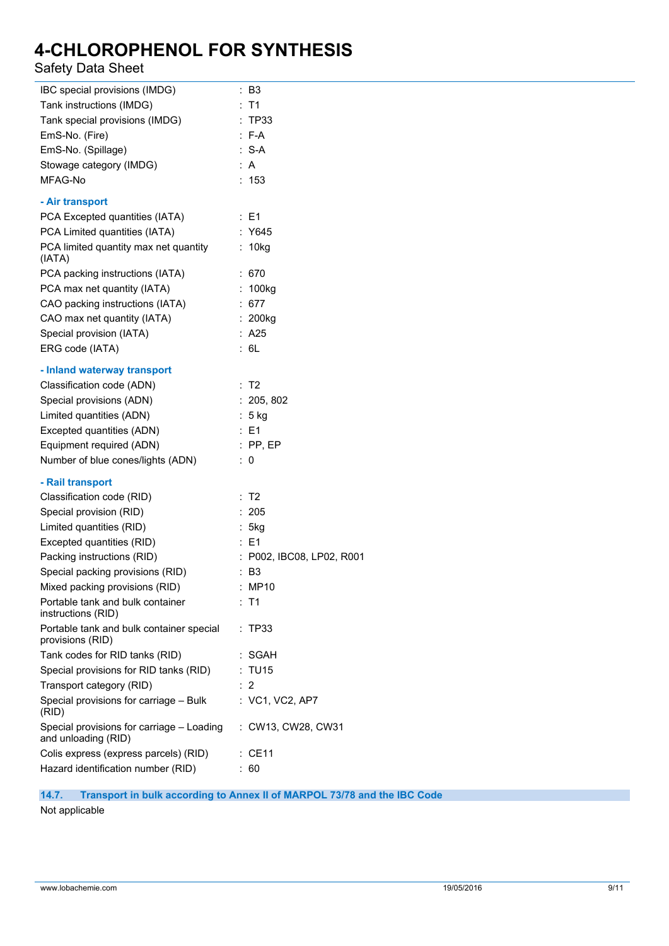# Safety Data Sheet

| IBC special provisions (IMDG)                                    | : B3                      |
|------------------------------------------------------------------|---------------------------|
| Tank instructions (IMDG)                                         | $:$ T1                    |
| Tank special provisions (IMDG)                                   | : TP33                    |
| EmS-No. (Fire)                                                   | $: F-A$                   |
| EmS-No. (Spillage)                                               | :S-A                      |
| Stowage category (IMDG)                                          | : A                       |
| MFAG-No                                                          | : 153                     |
| - Air transport                                                  |                           |
| PCA Excepted quantities (IATA)                                   | $\therefore$ E1           |
| PCA Limited quantities (IATA)                                    | : Y645                    |
| PCA limited quantity max net quantity                            | : 10kg                    |
| (IATA)<br>PCA packing instructions (IATA)                        | :670                      |
| PCA max net quantity (IATA)                                      | : 100kg                   |
| CAO packing instructions (IATA)                                  | : $677$                   |
| CAO max net quantity (IATA)                                      | $: 200$ kg                |
| Special provision (IATA)                                         | : A25                     |
| ERG code (IATA)                                                  | : 6L                      |
|                                                                  |                           |
| - Inland waterway transport                                      |                           |
| Classification code (ADN)                                        | : T2                      |
| Special provisions (ADN)                                         | : 205, 802                |
| Limited quantities (ADN)                                         | $: 5$ kg                  |
| Excepted quantities (ADN)                                        | $\therefore$ E1           |
| Equipment required (ADN)                                         | $:$ PP, EP                |
| Number of blue cones/lights (ADN)                                | $\therefore$ 0            |
| - Rail transport                                                 |                           |
| Classification code (RID)                                        | : T2                      |
| Special provision (RID)                                          | : 205                     |
| Limited quantities (RID)                                         | : 5kg                     |
| Excepted quantities (RID)                                        | : E1                      |
| Packing instructions (RID)                                       | : P002, IBC08, LP02, R001 |
| Special packing provisions (RID)                                 | $\therefore$ B3           |
| Mixed packing provisions (RID)                                   | : MP10                    |
| Portable tank and bulk container<br>instructions (RID)           | : T1                      |
| Portable tank and bulk container special<br>provisions (RID)     | :TP33                     |
| Tank codes for RID tanks (RID)                                   | : SGAH                    |
| Special provisions for RID tanks (RID)                           | : TU15                    |
| Transport category (RID)                                         | : 2                       |
| Special provisions for carriage - Bulk<br>(RID)                  | : VC1, VC2, AP7           |
| Special provisions for carriage - Loading<br>and unloading (RID) | : CW13, CW28, CW31        |
| Colis express (express parcels) (RID)                            | : CE11                    |
| Hazard identification number (RID)                               | 60<br>÷.                  |
|                                                                  |                           |

## **14.7. Transport in bulk according to Annex II of MARPOL 73/78 and the IBC Code**

Not applicable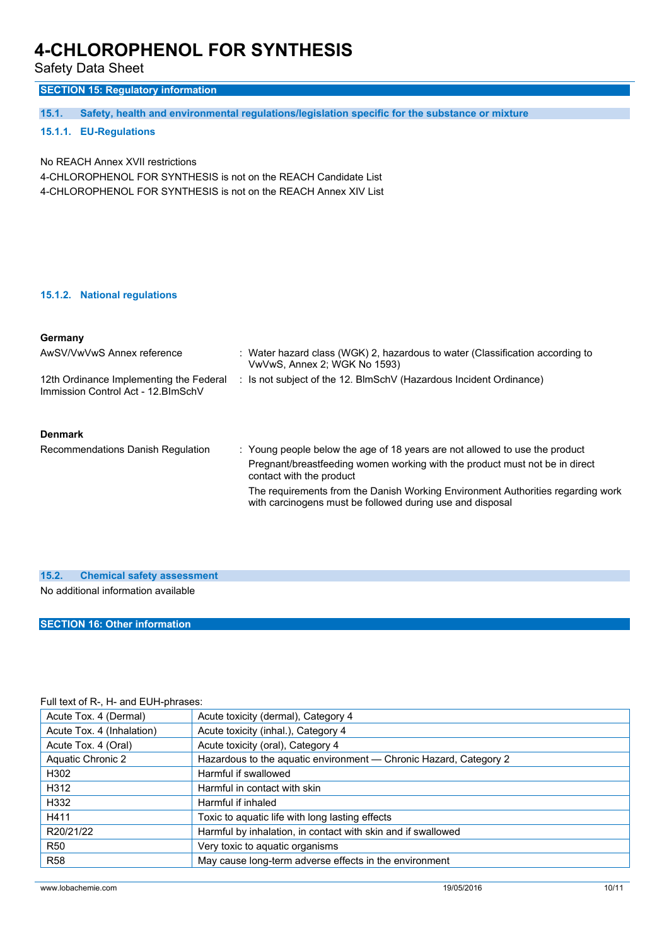Safety Data Sheet

## **SECTION 15: Regulatory information**

**15.1. Safety, health and environmental regulations/legislation specific for the substance or mixture**

### **15.1.1. EU-Regulations**

No REACH Annex XVII restrictions

4-CHLOROPHENOL FOR SYNTHESIS is not on the REACH Candidate List 4-CHLOROPHENOL FOR SYNTHESIS is not on the REACH Annex XIV List

#### **15.1.2. National regulations**

### **Germany**

| AwSV/VwVwS Annex reference                                                     | : Water hazard class (WGK) 2, hazardous to water (Classification according to<br>VwVwS, Annex 2; WGK No 1593)                                |
|--------------------------------------------------------------------------------|----------------------------------------------------------------------------------------------------------------------------------------------|
| 12th Ordinance Implementing the Federal<br>Immission Control Act - 12. BlmSchV | : Is not subject of the 12. BlmSchV (Hazardous Incident Ordinance)                                                                           |
| <b>Denmark</b>                                                                 |                                                                                                                                              |
| Recommendations Danish Regulation                                              | : Young people below the age of 18 years are not allowed to use the product                                                                  |
|                                                                                | Pregnant/breastfeeding women working with the product must not be in direct<br>contact with the product                                      |
|                                                                                | The requirements from the Danish Working Environment Authorities regarding work<br>with carcinogens must be followed during use and disposal |
|                                                                                |                                                                                                                                              |

| 15.2. | <b>Chemical safety assessment</b>   |  |
|-------|-------------------------------------|--|
|       | No additional information available |  |

### **SECTION 16: Other information**

## Full text of R-, H- and EUH-phrases:

| Acute Tox. 4 (Dermal)     | Acute toxicity (dermal), Category 4                               |  |
|---------------------------|-------------------------------------------------------------------|--|
| Acute Tox. 4 (Inhalation) | Acute toxicity (inhal.), Category 4                               |  |
| Acute Tox. 4 (Oral)       | Acute toxicity (oral), Category 4                                 |  |
| Aquatic Chronic 2         | Hazardous to the aquatic environment - Chronic Hazard, Category 2 |  |
| H302                      | Harmful if swallowed                                              |  |
| H312                      | Harmful in contact with skin                                      |  |
| H332                      | Harmful if inhaled                                                |  |
| H411                      | Toxic to aguatic life with long lasting effects                   |  |
| R20/21/22                 | Harmful by inhalation, in contact with skin and if swallowed      |  |
| <b>R50</b>                | Very toxic to aquatic organisms                                   |  |
| <b>R58</b>                | May cause long-term adverse effects in the environment            |  |
|                           |                                                                   |  |